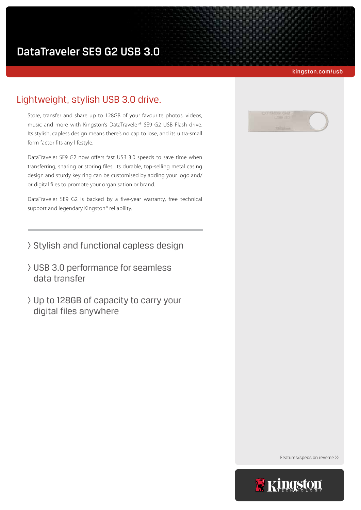kingston.com/usb

# Lightweight, stylish USB 3.0 drive.

Store, transfer and share up to 128GB of your favourite photos, videos, music and more with Kingston's DataTraveler® SE9 G2 USB Flash drive. Its stylish, capless design means there's no cap to lose, and its ultra-small form factor fits any lifestyle.

DataTraveler SE9 G2 now offers fast USB 3.0 speeds to save time when transferring, sharing or storing files. Its durable, top-selling metal casing design and sturdy key ring can be customised by adding your logo and/ or digital files to promote your organisation or brand.

DataTraveler SE9 G2 is backed by a five-year warranty, free technical support and legendary Kingston® reliability.

- > Stylish and functional capless design
- > USB 3.0 performance for seamless data transfer
- > Up to 128GB of capacity to carry your digital files anywhere



Features/specs on reverse >>